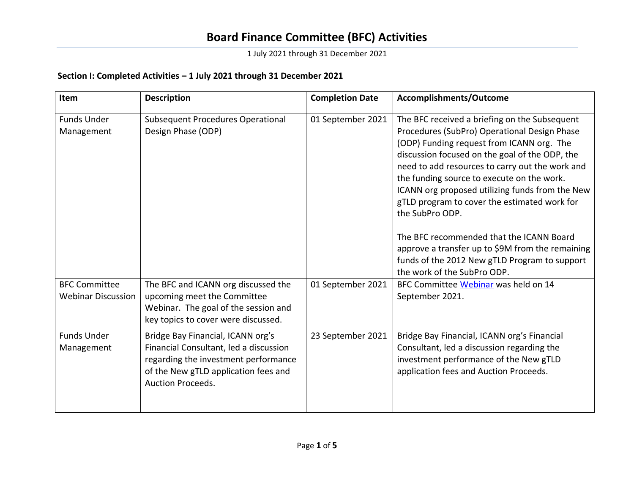1 July 2021 through 31 December 2021

### **Section I: Completed Activities – 1 July 2021 through 31 December 2021**

| <b>Item</b>                                       | <b>Description</b>                                                                                                                                                                      | <b>Completion Date</b> | Accomplishments/Outcome                                                                                                                                                                                                                                                                                                                                                                                                                                                                                                                                                                             |  |
|---------------------------------------------------|-----------------------------------------------------------------------------------------------------------------------------------------------------------------------------------------|------------------------|-----------------------------------------------------------------------------------------------------------------------------------------------------------------------------------------------------------------------------------------------------------------------------------------------------------------------------------------------------------------------------------------------------------------------------------------------------------------------------------------------------------------------------------------------------------------------------------------------------|--|
| <b>Funds Under</b><br>Management                  | <b>Subsequent Procedures Operational</b><br>Design Phase (ODP)                                                                                                                          | 01 September 2021      | The BFC received a briefing on the Subsequent<br>Procedures (SubPro) Operational Design Phase<br>(ODP) Funding request from ICANN org. The<br>discussion focused on the goal of the ODP, the<br>need to add resources to carry out the work and<br>the funding source to execute on the work.<br>ICANN org proposed utilizing funds from the New<br>gTLD program to cover the estimated work for<br>the SubPro ODP.<br>The BFC recommended that the ICANN Board<br>approve a transfer up to \$9M from the remaining<br>funds of the 2012 New gTLD Program to support<br>the work of the SubPro ODP. |  |
| <b>BFC Committee</b><br><b>Webinar Discussion</b> | The BFC and ICANN org discussed the<br>upcoming meet the Committee<br>Webinar. The goal of the session and<br>key topics to cover were discussed.                                       | 01 September 2021      | BFC Committee Webinar was held on 14<br>September 2021.                                                                                                                                                                                                                                                                                                                                                                                                                                                                                                                                             |  |
| <b>Funds Under</b><br>Management                  | Bridge Bay Financial, ICANN org's<br>Financial Consultant, led a discussion<br>regarding the investment performance<br>of the New gTLD application fees and<br><b>Auction Proceeds.</b> | 23 September 2021      | Bridge Bay Financial, ICANN org's Financial<br>Consultant, led a discussion regarding the<br>investment performance of the New gTLD<br>application fees and Auction Proceeds.                                                                                                                                                                                                                                                                                                                                                                                                                       |  |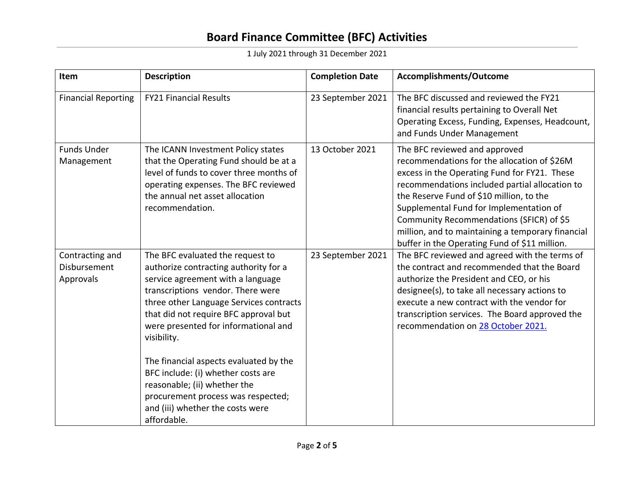1 July 2021 through 31 December 2021

| Item                                                | <b>Description</b>                                                                                                                                                                                                                                                                                                                                                                                                                                                                                      | <b>Completion Date</b> | Accomplishments/Outcome                                                                                                                                                                                                                                                                                                                                                                                                 |
|-----------------------------------------------------|---------------------------------------------------------------------------------------------------------------------------------------------------------------------------------------------------------------------------------------------------------------------------------------------------------------------------------------------------------------------------------------------------------------------------------------------------------------------------------------------------------|------------------------|-------------------------------------------------------------------------------------------------------------------------------------------------------------------------------------------------------------------------------------------------------------------------------------------------------------------------------------------------------------------------------------------------------------------------|
| <b>Financial Reporting</b>                          | <b>FY21 Financial Results</b>                                                                                                                                                                                                                                                                                                                                                                                                                                                                           | 23 September 2021      | The BFC discussed and reviewed the FY21<br>financial results pertaining to Overall Net<br>Operating Excess, Funding, Expenses, Headcount,<br>and Funds Under Management                                                                                                                                                                                                                                                 |
| <b>Funds Under</b><br>Management                    | The ICANN Investment Policy states<br>that the Operating Fund should be at a<br>level of funds to cover three months of<br>operating expenses. The BFC reviewed<br>the annual net asset allocation<br>recommendation.                                                                                                                                                                                                                                                                                   | 13 October 2021        | The BFC reviewed and approved<br>recommendations for the allocation of \$26M<br>excess in the Operating Fund for FY21. These<br>recommendations included partial allocation to<br>the Reserve Fund of \$10 million, to the<br>Supplemental Fund for Implementation of<br>Community Recommendations (SFICR) of \$5<br>million, and to maintaining a temporary financial<br>buffer in the Operating Fund of \$11 million. |
| Contracting and<br><b>Disbursement</b><br>Approvals | The BFC evaluated the request to<br>authorize contracting authority for a<br>service agreement with a language<br>transcriptions vendor. There were<br>three other Language Services contracts<br>that did not require BFC approval but<br>were presented for informational and<br>visibility.<br>The financial aspects evaluated by the<br>BFC include: (i) whether costs are<br>reasonable; (ii) whether the<br>procurement process was respected;<br>and (iii) whether the costs were<br>affordable. | 23 September 2021      | The BFC reviewed and agreed with the terms of<br>the contract and recommended that the Board<br>authorize the President and CEO, or his<br>designee(s), to take all necessary actions to<br>execute a new contract with the vendor for<br>transcription services. The Board approved the<br>recommendation on 28 October 2021.                                                                                          |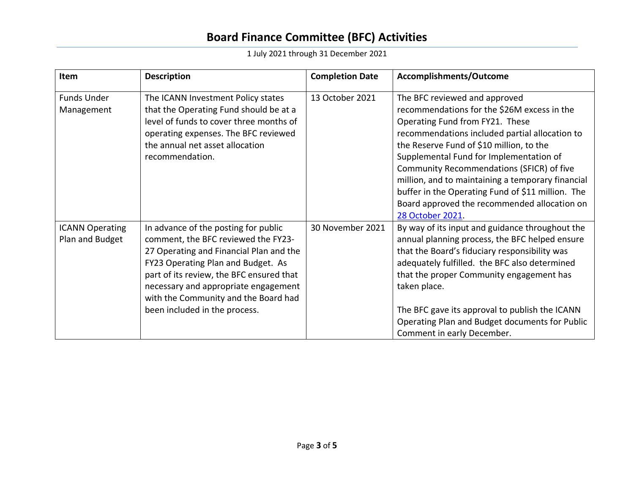1 July 2021 through 31 December 2021

| Item                                      | <b>Description</b>                                                                                                                                                                                                                                                                                                        | <b>Completion Date</b> | Accomplishments/Outcome                                                                                                                                                                                                                                                                                                                                                                                                                                                             |
|-------------------------------------------|---------------------------------------------------------------------------------------------------------------------------------------------------------------------------------------------------------------------------------------------------------------------------------------------------------------------------|------------------------|-------------------------------------------------------------------------------------------------------------------------------------------------------------------------------------------------------------------------------------------------------------------------------------------------------------------------------------------------------------------------------------------------------------------------------------------------------------------------------------|
| <b>Funds Under</b><br>Management          | The ICANN Investment Policy states<br>that the Operating Fund should be at a<br>level of funds to cover three months of<br>operating expenses. The BFC reviewed<br>the annual net asset allocation<br>recommendation.                                                                                                     | 13 October 2021        | The BFC reviewed and approved<br>recommendations for the \$26M excess in the<br>Operating Fund from FY21. These<br>recommendations included partial allocation to<br>the Reserve Fund of \$10 million, to the<br>Supplemental Fund for Implementation of<br>Community Recommendations (SFICR) of five<br>million, and to maintaining a temporary financial<br>buffer in the Operating Fund of \$11 million. The<br>Board approved the recommended allocation on<br>28 October 2021. |
| <b>ICANN Operating</b><br>Plan and Budget | In advance of the posting for public<br>comment, the BFC reviewed the FY23-<br>27 Operating and Financial Plan and the<br>FY23 Operating Plan and Budget. As<br>part of its review, the BFC ensured that<br>necessary and appropriate engagement<br>with the Community and the Board had<br>been included in the process. | 30 November 2021       | By way of its input and guidance throughout the<br>annual planning process, the BFC helped ensure<br>that the Board's fiduciary responsibility was<br>adequately fulfilled. the BFC also determined<br>that the proper Community engagement has<br>taken place.<br>The BFC gave its approval to publish the ICANN<br>Operating Plan and Budget documents for Public<br>Comment in early December.                                                                                   |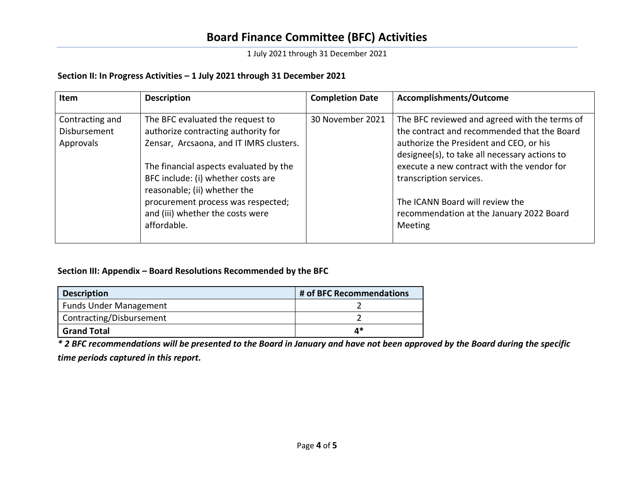1 July 2021 through 31 December 2021

### **Section II: In Progress Activities – 1 July 2021 through 31 December 2021**

| <b>Item</b>                                  | <b>Description</b>                                                                                                                                                                                                                                                                                           | <b>Completion Date</b> | Accomplishments/Outcome                                                                                                                                                                                                                                                                                                                          |
|----------------------------------------------|--------------------------------------------------------------------------------------------------------------------------------------------------------------------------------------------------------------------------------------------------------------------------------------------------------------|------------------------|--------------------------------------------------------------------------------------------------------------------------------------------------------------------------------------------------------------------------------------------------------------------------------------------------------------------------------------------------|
| Contracting and<br>Disbursement<br>Approvals | The BFC evaluated the request to<br>authorize contracting authority for<br>Zensar, Arcsaona, and IT IMRS clusters.<br>The financial aspects evaluated by the<br>BFC include: (i) whether costs are<br>reasonable; (ii) whether the<br>procurement process was respected;<br>and (iii) whether the costs were | 30 November 2021       | The BFC reviewed and agreed with the terms of<br>the contract and recommended that the Board<br>authorize the President and CEO, or his<br>designee(s), to take all necessary actions to<br>execute a new contract with the vendor for<br>transcription services.<br>The ICANN Board will review the<br>recommendation at the January 2022 Board |
|                                              | affordable.                                                                                                                                                                                                                                                                                                  |                        | Meeting                                                                                                                                                                                                                                                                                                                                          |

#### **Section III: Appendix – Board Resolutions Recommended by the BFC**

| <b>Description</b>            | # of BFC Recommendations |  |
|-------------------------------|--------------------------|--|
| <b>Funds Under Management</b> |                          |  |
| Contracting/Disbursement      |                          |  |
| <b>Grand Total</b>            | 4*                       |  |

*\* 2 BFC recommendations will be presented to the Board in January and have not been approved by the Board during the specific time periods captured in this report.*